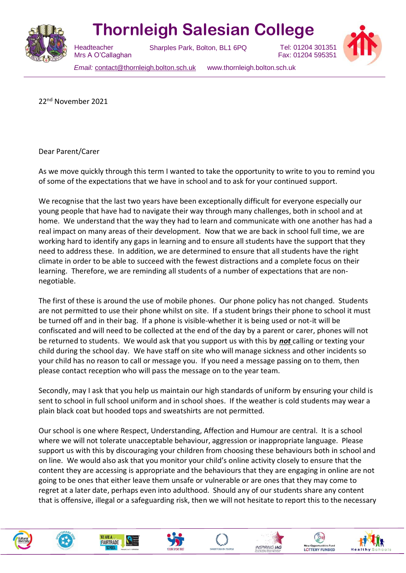

## **Thornleigh Salesian College**

Sharples Park, Bolton, BL1 6PQ

Tel: 01204 301351 Fax: 01204 595351

 Mrs A O'Callaghan *Email:* [contact@thornleigh.bolton.sch.uk](mailto:contact@thornleigh.bolton.sch.uk) www.thornleigh.bolton.sch.uk

22nd November 2021

**Headteacher** 

Dear Parent/Carer

As we move quickly through this term I wanted to take the opportunity to write to you to remind you of some of the expectations that we have in school and to ask for your continued support.

We recognise that the last two years have been exceptionally difficult for everyone especially our young people that have had to navigate their way through many challenges, both in school and at home. We understand that the way they had to learn and communicate with one another has had a real impact on many areas of their development. Now that we are back in school full time, we are working hard to identify any gaps in learning and to ensure all students have the support that they need to address these. In addition, we are determined to ensure that all students have the right climate in order to be able to succeed with the fewest distractions and a complete focus on their learning. Therefore, we are reminding all students of a number of expectations that are nonnegotiable.

The first of these is around the use of mobile phones. Our phone policy has not changed. Students are not permitted to use their phone whilst on site. If a student brings their phone to school it must be turned off and in their bag. If a phone is visible-whether it is being used or not-it will be confiscated and will need to be collected at the end of the day by a parent or carer, phones will not be returned to students. We would ask that you support us with this by *not* calling or texting your child during the school day. We have staff on site who will manage sickness and other incidents so your child has no reason to call or message you. If you need a message passing on to them, then please contact reception who will pass the message on to the year team.

Secondly, may I ask that you help us maintain our high standards of uniform by ensuring your child is sent to school in full school uniform and in school shoes. If the weather is cold students may wear a plain black coat but hooded tops and sweatshirts are not permitted.

Our school is one where Respect, Understanding, Affection and Humour are central. It is a school where we will not tolerate unacceptable behaviour, aggression or inappropriate language. Please support us with this by discouraging your children from choosing these behaviours both in school and on line. We would also ask that you monitor your child's online activity closely to ensure that the content they are accessing is appropriate and the behaviours that they are engaging in online are not going to be ones that either leave them unsafe or vulnerable or are ones that they may come to regret at a later date, perhaps even into adulthood. Should any of our students share any content that is offensive, illegal or a safeguarding risk, then we will not hesitate to report this to the necessary